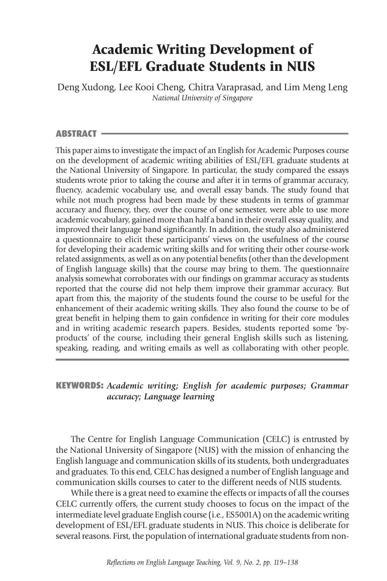# Academic Writing Development of ESL/EFL Graduate Students in NUS

Deng Xudong, Lee Kooi Cheng, Chitra Varaprasad, and Lim Meng Leng *National University of Singapore*

#### ABSTRACT

This paper aims to investigate the impact of an English for Academic Purposes course on the development of academic writing abilities of ESL/EFL graduate students at the National University of Singapore. In particular, the study compared the essays students wrote prior to taking the course and after it in terms of grammar accuracy, fluency, academic vocabulary use, and overall essay bands. The study found that while not much progress had been made by these students in terms of grammar accuracy and fluency, they, over the course of one semester, were able to use more academic vocabulary, gained more than half a band in their overall essay quality, and improved their language band significantly. In addition, the study also administered a questionnaire to elicit these participants' views on the usefulness of the course for developing their academic writing skills and for writing their other course-work related assignments, as well as on any potential benefits (other than the development of English language skills) that the course may bring to them. The questionnaire analysis somewhat corroborates with our findings on grammar accuracy as students reported that the course did not help them improve their grammar accuracy. But apart from this, the majority of the students found the course to be useful for the enhancement of their academic writing skills. They also found the course to be of great benefit in helping them to gain confidence in writing for their core modules and in writing academic research papers. Besides, students reported some 'byproducts' of the course, including their general English skills such as listening, speaking, reading, and writing emails as well as collaborating with other people.

## KEYWORDS: *Academic writing; English for academic purposes; Grammar accuracy; Language learning*

 The Centre for English Language Communication (CELC) is entrusted by the National University of Singapore (NUS) with the mission of enhancing the English language and communication skills of its students, both undergraduates and graduates. To this end, CELC has designed a number of English language and communication skills courses to cater to the different needs of NUS students.

 While there is a great need to examine the effects or impacts of all the courses CELC currently offers, the current study chooses to focus on the impact of the intermediate level graduate English course (i.e., ES5001A) on the academic writing development of ESL/EFL graduate students in NUS. This choice is deliberate for several reasons. First, the population of international graduate students from non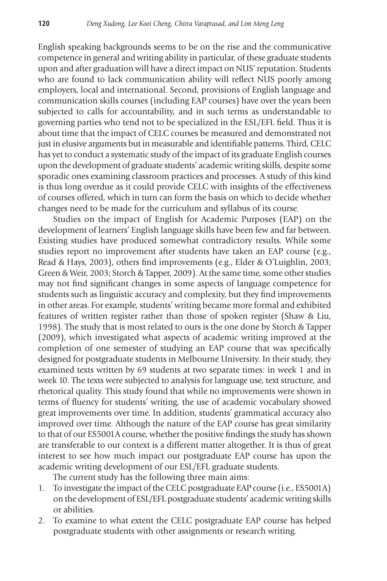English speaking backgrounds seems to be on the rise and the communicative competence in general and writing ability in particular, of these graduate students upon and after graduation will have a direct impact on NUS' reputation. Students who are found to lack communication ability will reflect NUS poorly among employers, local and international. Second, provisions of English language and communication skills courses (including EAP courses) have over the years been subjected to calls for accountability, and in such terms as understandable to governing parties who tend not to be specialized in the ESL/EFL field. Thus it is about time that the impact of CELC courses be measured and demonstrated not just in elusive arguments but in measurable and identifiable patterns. Third, CELC has yet to conduct a systematic study of the impact of its graduate English courses upon the development of graduate students' academic writing skills, despite some sporadic ones examining classroom practices and processes. A study of this kind is thus long overdue as it could provide CELC with insights of the effectiveness of courses offered, which in turn can form the basis on which to decide whether changes need to be made for the curriculum and syllabus of its course.

 Studies on the impact of English for Academic Purposes (EAP) on the development of learners' English language skills have been few and far between. Existing studies have produced somewhat contradictory results. While some studies report no improvement after students have taken an EAP course (e.g., Read & Hays, 2003), others find improvements (e.g., Elder & O'Luighlin, 2003; Green & Weir, 2003; Storch & Tapper, 2009). At the same time, some other studies may not find significant changes in some aspects of language competence for students such as linguistic accuracy and complexity, but they find improvements in other areas. For example, students' writing became more formal and exhibited features of written register rather than those of spoken register (Shaw & Liu, 1998). The study that is most related to ours is the one done by Storch & Tapper (2009), which investigated what aspects of academic writing improved at the completion of one semester of studying an EAP course that was specifically designed for postgraduate students in Melbourne University. In their study, they examined texts written by 69 students at two separate times: in week 1 and in week 10. The texts were subjected to analysis for language use, text structure, and rhetorical quality. This study found that while no improvements were shown in terms of fluency for students' writing, the use of academic vocabulary showed great improvements over time. In addition, students' grammatical accuracy also improved over time. Although the nature of the EAP course has great similarity to that of our ES5001A course, whether the positive findings the study has shown are transferable to our context is a different matter altogether. It is thus of great interest to see how much impact our postgraduate EAP course has upon the academic writing development of our ESL/EFL graduate students.

The current study has the following three main aims:

- 1. To investigate the impact of the CELC postgraduate EAP course (i.e., ES5001A) on the development of ESL/EFL postgraduate students' academic writing skills or abilities.
- 2. To examine to what extent the CELC postgraduate EAP course has helped postgraduate students with other assignments or research writing.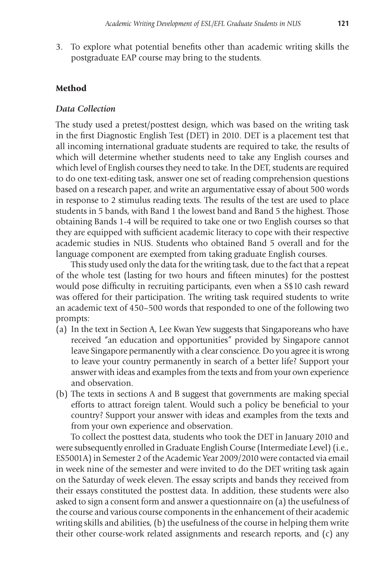3. To explore what potential benefits other than academic writing skills the postgraduate EAP course may bring to the students.

#### Method

## *Data Collection*

The study used a pretest/posttest design, which was based on the writing task in the first Diagnostic English Test (DET) in 2010. DET is a placement test that all incoming international graduate students are required to take, the results of which will determine whether students need to take any English courses and which level of English courses they need to take. In the DET, students are required to do one text-editing task, answer one set of reading comprehension questions based on a research paper, and write an argumentative essay of about 500 words in response to 2 stimulus reading texts. The results of the test are used to place students in 5 bands, with Band 1 the lowest band and Band 5 the highest. Those obtaining Bands 1-4 will be required to take one or two English courses so that they are equipped with sufficient academic literacy to cope with their respective academic studies in NUS. Students who obtained Band 5 overall and for the language component are exempted from taking graduate English courses.

 This study used only the data for the writing task, due to the fact that a repeat of the whole test (lasting for two hours and fifteen minutes) for the posttest would pose difficulty in recruiting participants, even when a S\$10 cash reward was offered for their participation. The writing task required students to write an academic text of 450–500 words that responded to one of the following two prompts:

- (a) In the text in Section A, Lee Kwan Yew suggests that Singaporeans who have received "an education and opportunities" provided by Singapore cannot leave Singapore permanently with a clear conscience. Do you agree it is wrong to leave your country permanently in search of a better life? Support your answer with ideas and examples from the texts and from your own experience and observation.
- (b) The texts in sections A and B suggest that governments are making special efforts to attract foreign talent. Would such a policy be beneficial to your country? Support your answer with ideas and examples from the texts and from your own experience and observation.

 To collect the posttest data, students who took the DET in January 2010 and were subsequently enrolled in Graduate English Course (Intermediate Level) (i.e., ES5001A) in Semester 2 of the Academic Year 2009/2010 were contacted via email in week nine of the semester and were invited to do the DET writing task again on the Saturday of week eleven. The essay scripts and bands they received from their essays constituted the posttest data. In addition, these students were also asked to sign a consent form and answer a questionnaire on (a) the usefulness of the course and various course components in the enhancement of their academic writing skills and abilities, (b) the usefulness of the course in helping them write their other course-work related assignments and research reports, and (c) any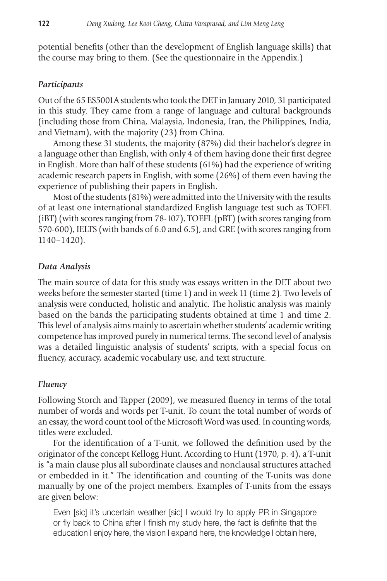potential benefits (other than the development of English language skills) that the course may bring to them. (See the questionnaire in the Appendix.)

## *Participants*

Out of the 65 ES5001A students who took the DET in January 2010, 31 participated in this study. They came from a range of language and cultural backgrounds (including those from China, Malaysia, Indonesia, Iran, the Philippines, India, and Vietnam), with the majority (23) from China.

 Among these 31 students, the majority (87%) did their bachelor's degree in a language other than English, with only 4 of them having done their first degree in English. More than half of these students (61%) had the experience of writing academic research papers in English, with some (26%) of them even having the experience of publishing their papers in English.

 Most of the students (81%) were admitted into the University with the results of at least one international standardized English language test such as TOEFL (iBT) (with scores ranging from 78-107), TOEFL (pBT) (with scores ranging from 570-600), IELTS (with bands of 6.0 and 6.5), and GRE (with scores ranging from 1140–1420).

#### *Data Analysis*

The main source of data for this study was essays written in the DET about two weeks before the semester started (time 1) and in week 11 (time 2). Two levels of analysis were conducted, holistic and analytic. The holistic analysis was mainly based on the bands the participating students obtained at time 1 and time 2. This level of analysis aims mainly to ascertain whether students' academic writing competence has improved purely in numerical terms. The second level of analysis was a detailed linguistic analysis of students' scripts, with a special focus on fluency, accuracy, academic vocabulary use, and text structure.

#### *Fluency*

Following Storch and Tapper (2009), we measured fluency in terms of the total number of words and words per T-unit. To count the total number of words of an essay, the word count tool of the Microsoft Word was used. In counting words, titles were excluded.

 For the identification of a T-unit, we followed the definition used by the originator of the concept Kellogg Hunt. According to Hunt (1970, p. 4), a T-unit is "a main clause plus all subordinate clauses and nonclausal structures attached or embedded in it." The identification and counting of the T-units was done manually by one of the project members. Examples of T-units from the essays are given below:

 Even [sic] it's uncertain weather [sic] I would try to apply PR in Singapore or fly back to China after I finish my study here, the fact is definite that the education I enjoy here, the vision I expand here, the knowledge I obtain here,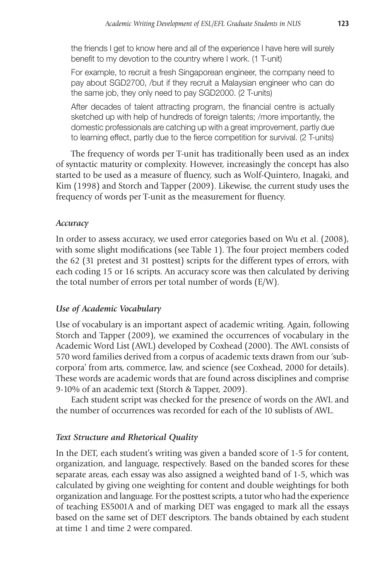the friends I get to know here and all of the experience I have here will surely benefit to my devotion to the country where I work. (1 T-unit)

 For example, to recruit a fresh Singaporean engineer, the company need to pay about SGD2700, /but if they recruit a Malaysian engineer who can do the same job, they only need to pay SGD2000. (2 T-units)

After decades of talent attracting program, the financial centre is actually sketched up with help of hundreds of foreign talents; /more importantly, the domestic professionals are catching up with a great improvement, partly due to learning effect, partly due to the fierce competition for survival. (2 T-units)

 The frequency of words per T-unit has traditionally been used as an index of syntactic maturity or complexity. However, increasingly the concept has also started to be used as a measure of fluency, such as Wolf-Quintero, Inagaki, and Kim (1998) and Storch and Tapper (2009). Likewise, the current study uses the frequency of words per T-unit as the measurement for fluency.

## *Accuracy*

In order to assess accuracy, we used error categories based on Wu et al. (2008), with some slight modifications (see Table 1). The four project members coded the 62 (31 pretest and 31 posttest) scripts for the different types of errors, with each coding 15 or 16 scripts. An accuracy score was then calculated by deriving the total number of errors per total number of words (E/W).

## *Use of Academic Vocabulary*

Use of vocabulary is an important aspect of academic writing. Again, following Storch and Tapper (2009), we examined the occurrences of vocabulary in the Academic Word List (AWL) developed by Coxhead (2000). The AWL consists of 570 word families derived from a corpus of academic texts drawn from our 'subcorpora' from arts, commerce, law, and science (see Coxhead, 2000 for details). These words are academic words that are found across disciplines and comprise 9-10% of an academic text (Storch & Tapper, 2009).

 Each student script was checked for the presence of words on the AWL and the number of occurrences was recorded for each of the 10 sublists of AWL.

## *Text Structure and Rhetorical Quality*

In the DET, each student's writing was given a banded score of 1-5 for content, organization, and language, respectively. Based on the banded scores for these separate areas, each essay was also assigned a weighted band of 1-5, which was calculated by giving one weighting for content and double weightings for both organization and language. For the posttest scripts, a tutor who had the experience of teaching ES5001A and of marking DET was engaged to mark all the essays based on the same set of DET descriptors. The bands obtained by each student at time 1 and time 2 were compared.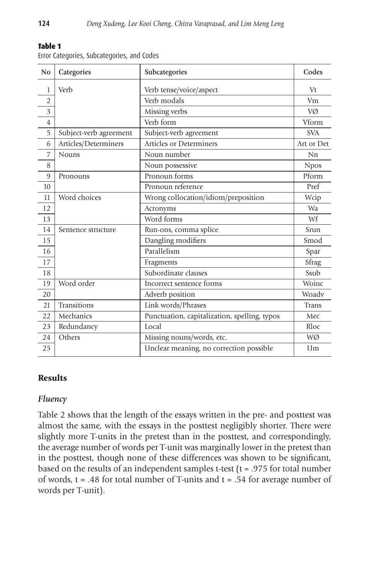| __<br>___ |  |  |  |  |
|-----------|--|--|--|--|
|-----------|--|--|--|--|

Error Categories, Subcategories, and Codes

| N <sub>0</sub> | Categories             | Subcategories                                | Codes       |
|----------------|------------------------|----------------------------------------------|-------------|
| 1              | Verb                   | Verb tense/voice/aspect                      | Vt          |
| $\overline{2}$ |                        | Verb modals                                  | Vm          |
| 3              |                        | Missing verbs                                | VØ          |
| $\overline{4}$ |                        | Verb form                                    | Vform       |
| 5              | Subject-verb agreement | Subject-verb agreement                       | <b>SVA</b>  |
| 6              | Articles/Determiners   | <b>Articles or Determiners</b>               | Art or Det  |
| 7              | <b>Nouns</b>           | Noun number                                  | Nn          |
| 8              |                        | Noun possessive                              | <b>Npos</b> |
| 9              | Pronouns               | Pronoun forms                                | Pform       |
| 10             |                        | Pronoun reference                            | Pref        |
| 11             | Word choices           | Wrong collocation/idiom/preposition          | Wcip        |
| 12             |                        | Acronyms                                     | Wa          |
| 13             |                        | Word forms                                   | Wf          |
| 14             | Sentence structure     | Run-ons, comma splice                        | Srun        |
| 15             |                        | Dangling modifiers                           | Smod        |
| 16             |                        | Parallelism                                  | Spar        |
| 17             |                        | Fragments                                    | Sfrag       |
| 18             |                        | Subordinate clauses                          | Ssub        |
| 19             | Word order             | Incorrect sentence forms                     | Woinc       |
| 20             |                        | Adverb position                              | Woadv       |
| 21             | Transitions            | Link words/Phrases                           | Trans       |
| 22             | Mechanics              | Punctuation, capitalization, spelling, typos | Mec         |
| 23             | Redundancy             | Local                                        | Rloc        |
| 24             | Others                 | Missing nouns/words, etc.                    | WØ          |
| 25             |                        | Unclear meaning, no correction possible      | Um          |

## Results

## *Fluency*

Table 2 shows that the length of the essays written in the pre- and posttest was almost the same, with the essays in the posttest negligibly shorter. There were slightly more T-units in the pretest than in the posttest, and correspondingly, the average number of words per T-unit was marginally lower in the pretest than in the posttest, though none of these differences was shown to be significant, based on the results of an independent samples t-test (t = .975 for total number of words,  $t = .48$  for total number of T-units and  $t = .54$  for average number of words per T-unit).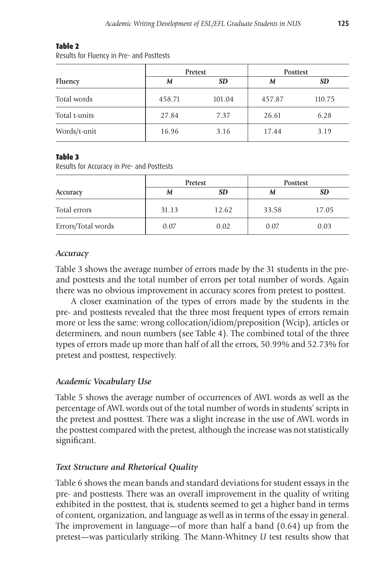#### Table 2

Results for Fluency in Pre- and Posttests

|               |        | Pretest<br><b>Posttest</b> |        |           |
|---------------|--------|----------------------------|--------|-----------|
| Fluency       | M      | <b>SD</b>                  | M      | <b>SD</b> |
| Total words   | 458.71 | 101.04                     | 457.87 | 110.75    |
| Total t-units | 27.84  | 7.37                       | 26.61  | 6.28      |
| Words/t-unit  | 16.96  | 3.16                       | 17.44  | 3.19      |

## Table 3

Results for Accuracy in Pre- and Posttests

|                    |       | Pretest   | <b>Posttest</b> |           |  |
|--------------------|-------|-----------|-----------------|-----------|--|
| Accuracy           | M     | <b>SD</b> | M               | <b>SD</b> |  |
| Total errors       | 31.13 | 12.62     | 33.58           | 17.05     |  |
| Errors/Total words | 0.07  | 0.02      | 0.07            | 0.03      |  |

## *Accuracy*

Table 3 shows the average number of errors made by the 31 students in the preand posttests and the total number of errors per total number of words. Again there was no obvious improvement in accuracy scores from pretest to posttest.

 A closer examination of the types of errors made by the students in the pre- and posttests revealed that the three most frequent types of errors remain more or less the same: wrong collocation/idiom/preposition (Wcip), articles or determiners, and noun numbers (see Table 4). The combined total of the three types of errors made up more than half of all the errors, 50.99% and 52.73% for pretest and posttest, respectively.

# *Academic Vocabulary Use*

Table 5 shows the average number of occurrences of AWL words as well as the percentage of AWL words out of the total number of words in students' scripts in the pretest and posttest. There was a slight increase in the use of AWL words in the posttest compared with the pretest, although the increase was not statistically significant.

# *Text Structure and Rhetorical Quality*

Table 6 shows the mean bands and standard deviations for student essays in the pre- and posttests. There was an overall improvement in the quality of writing exhibited in the posttest, that is, students seemed to get a higher band in terms of content, organization, and language as well as in terms of the essay in general. The improvement in language—of more than half a band (0.64) up from the pretest—was particularly striking. The Mann-Whitney *U* test results show that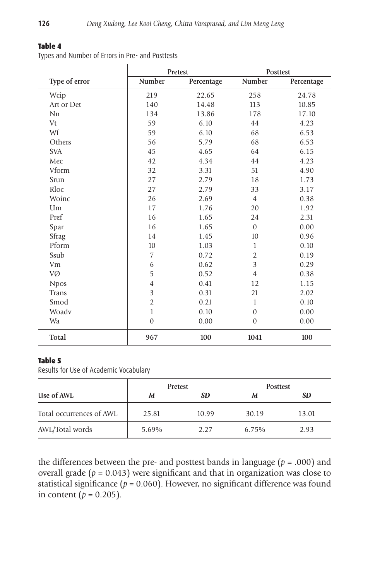Posttest

| Types and Number of Errors in Pre- and Posttests |               |            |  |  |  |  |  |
|--------------------------------------------------|---------------|------------|--|--|--|--|--|
|                                                  |               | Pretest    |  |  |  |  |  |
| Type of error                                    | <b>Number</b> | Percentage |  |  |  |  |  |
| Wcip                                             | 219           | 22.65      |  |  |  |  |  |
| Art or Det                                       | 140           | 14.48      |  |  |  |  |  |
| Nn                                               | 134           | 13.86      |  |  |  |  |  |
| Vt                                               | 59            | 6.10       |  |  |  |  |  |
| Wf                                               | 59            | 6.10       |  |  |  |  |  |
|                                                  |               |            |  |  |  |  |  |

## Table 4

| Type of error | Number         | Percentage | <b>Number</b>  | Percentage |
|---------------|----------------|------------|----------------|------------|
| Wcip          | 219            | 22.65      | 258            | 24.78      |
| Art or Det    | 140            | 14.48      | 113            | 10.85      |
| Nn            | 134            | 13.86      | 178            | 17.10      |
| Vt            | 59             | 6.10       | 44             | 4.23       |
| Wf            | 59             | 6.10       | 68             | 6.53       |
| Others        | 56             | 5.79       | 68             | 6.53       |
| <b>SVA</b>    | 45             | 4.65       | 64             | 6.15       |
| Mec           | 42             | 4.34       | 44             | 4.23       |
| Vform         | 32             | 3.31       | 51             | 4.90       |
| Srun          | 27             | 2.79       | 18             | 1.73       |
| Rloc          | 27             | 2.79       | 33             | 3.17       |
| Woinc         | 26             | 2.69       | $\overline{4}$ | 0.38       |
| Um            | 17             | 1.76       | 20             | 1.92       |
| Pref          | 16             | 1.65       | 24             | 2.31       |
| Spar          | 16             | 1.65       | $\overline{0}$ | 0.00       |
| Sfrag         | 14             | 1.45       | 10             | 0.96       |
| Pform         | 10             | 1.03       | $\mathbf{1}$   | 0.10       |
| Ssub          | $\overline{7}$ | 0.72       | $\overline{2}$ | 0.19       |
| Vm            | 6              | 0.62       | 3              | 0.29       |
| VØ            | 5              | 0.52       | $\overline{4}$ | 0.38       |
| <b>Npos</b>   | $\overline{4}$ | 0.41       | 12             | 1.15       |
| Trans         | 3              | 0.31       | 21             | 2.02       |
| Smod          | $\overline{2}$ | 0.21       | $\mathbf{1}$   | 0.10       |
| Woadv         | $\mathbf{1}$   | 0.10       | $\mathbf{0}$   | 0.00       |
| Wa            | $\mathbf{0}$   | 0.00       | $\mathbf{0}$   | 0.00       |
| Total         | 967            | 100        | 1041           | 100        |

#### Table 5

Results for Use of Academic Vocabulary

|                          | Pretest |           | <b>Posttest</b> |           |  |
|--------------------------|---------|-----------|-----------------|-----------|--|
| Use of AWL               | M       | <b>SD</b> | M               | <b>SD</b> |  |
| Total occurrences of AWL | 25.81   | 10.99     | 30.19           | 13.01     |  |
| AWL/Total words          | 5.69%   | 2.27      | 6.75%           | 2.93      |  |

the differences between the pre- and posttest bands in language  $(p = .000)$  and overall grade (*p* = 0.043) were significant and that in organization was close to statistical significance  $(p = 0.060)$ . However, no significant difference was found in content  $(p = 0.205)$ .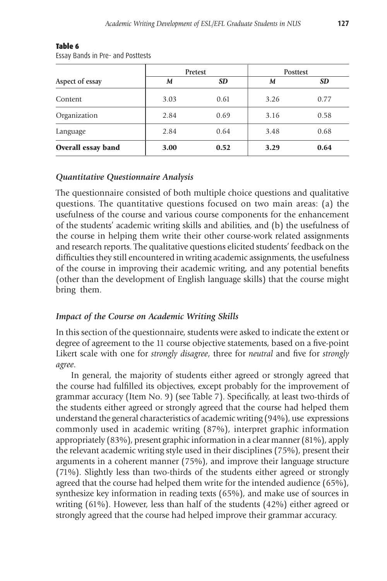|                    |                | Pretest | <b>Posttest</b> |           |  |
|--------------------|----------------|---------|-----------------|-----------|--|
| Aspect of essay    | <b>SD</b><br>M |         | M               | <b>SD</b> |  |
| Content            | 3.03           | 0.61    | 3.26            | 0.77      |  |
| Organization       | 2.84           | 0.69    | 3.16            | 0.58      |  |
| Language           | 2.84           | 0.64    | 3.48            | 0.68      |  |
| Overall essay band | 3.00           | 0.52    | 3.29            | 0.64      |  |

#### Table 6

Essay Bands in Pre- and Posttests

## *Quantitative Questionnaire Analysis*

The questionnaire consisted of both multiple choice questions and qualitative questions. The quantitative questions focused on two main areas: (a) the usefulness of the course and various course components for the enhancement of the students' academic writing skills and abilities, and (b) the usefulness of the course in helping them write their other course-work related assignments and research reports. The qualitative questions elicited students' feedback on the difficulties they still encountered in writing academic assignments, the usefulness of the course in improving their academic writing, and any potential benefits (other than the development of English language skills) that the course might bring them.

## *Impact of the Course on Academic Writing Skills*

In this section of the questionnaire, students were asked to indicate the extent or degree of agreement to the 11 course objective statements, based on a five-point Likert scale with one for *strongly disagree*, three for *neutral* and five for *strongly agree*.

 In general, the majority of students either agreed or strongly agreed that the course had fulfilled its objectives, except probably for the improvement of grammar accuracy (Item No. 9) (see Table 7). Specifically, at least two-thirds of the students either agreed or strongly agreed that the course had helped them understand the general characteristics of academic writing (94%), use expressions commonly used in academic writing (87%), interpret graphic information appropriately (83%), present graphic information in a clear manner (81%), apply the relevant academic writing style used in their disciplines (75%), present their arguments in a coherent manner (75%), and improve their language structure (71%). Slightly less than two-thirds of the students either agreed or strongly agreed that the course had helped them write for the intended audience (65%), synthesize key information in reading texts (65%), and make use of sources in writing (61%). However, less than half of the students (42%) either agreed or strongly agreed that the course had helped improve their grammar accuracy.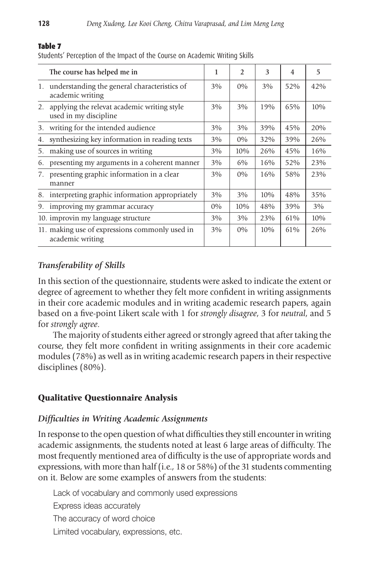# The course has helped me in  $\begin{array}{c|c|c|c|c|c|c|c|c} & 1 & 2 & 3 & 4 & 5 \end{array}$ 1. understanding the general characteristics of  $\begin{array}{|l|c|c|c|c|c|} \hline 3\% & 0\% & 3\% & 52\% & 42\% \hline \end{array}$  academic writing 2. applying the relevat academic writing style  $\begin{array}{|c|c|c|c|c|c|c|c|c|} \hline 3\% & 3\% & 19\% & 65\% & 10\% \hline \end{array}$  used in my discipline 3. writing for the intended audience 3% 3% 39% 45% 20% 4. synthesizing key information in reading texts 3% 0% 32% 39% 26% 5. making use of sources in writing  $3\%$  |  $3\%$  |  $10\%$  |  $26\%$  |  $45\%$  |  $16\%$ 6. presenting my arguments in a coherent manner  $\begin{array}{|c|c|c|c|c|c|} \hline 3\% & 6\% & 16\% & 52\% & 23\% \hline \end{array}$ 7. presenting graphic information in a clear  $\begin{array}{|c|c|c|c|c|c|c|c|c|} \hline 3\% & 0\% & 16\% & 58\% & 23\% \hline \end{array}$  manner 8. interpreting graphic information appropriately  $\begin{array}{|c|c|c|c|c|c|} \hline 3\% & 3\% & 10\% & 48\% & 35\% \hline \end{array}$ 9. improving my grammar accuracy 0% 10% 48% 39% 3% 10. improvin my language structure  $\begin{array}{|c|c|c|c|c|c|c|c|c|} \hline 3\% & 3\% & 23\% & 61\% & 10\% \hline \end{array}$ 11. making use of expressions commonly used in 3% 0% 10% 61% 26% academic writing

#### Table 7

Students' Perception of the Impact of the Course on Academic Writing Skills

# *Transferability of Skills*

In this section of the questionnaire, students were asked to indicate the extent or degree of agreement to whether they felt more confident in writing assignments in their core academic modules and in writing academic research papers, again based on a five-point Likert scale with 1 for *strongly disagree*, 3 for *neutral*, and 5 for *strongly agree*.

 The majority of students either agreed or strongly agreed that after taking the course, they felt more confident in writing assignments in their core academic modules (78%) as well as in writing academic research papers in their respective disciplines (80%).

# Qualitative Questionnaire Analysis

## *Difficulties in Writing Academic Assignments*

In response to the open question of what difficulties they still encounter in writing academic assignments, the students noted at least 6 large areas of difficulty. The most frequently mentioned area of difficulty is the use of appropriate words and expressions, with more than half (i.e., 18 or 58%) of the 31 students commenting on it. Below are some examples of answers from the students:

 Lack of vocabulary and commonly used expressions Express ideas accurately The accuracy of word choice Limited vocabulary, expressions, etc.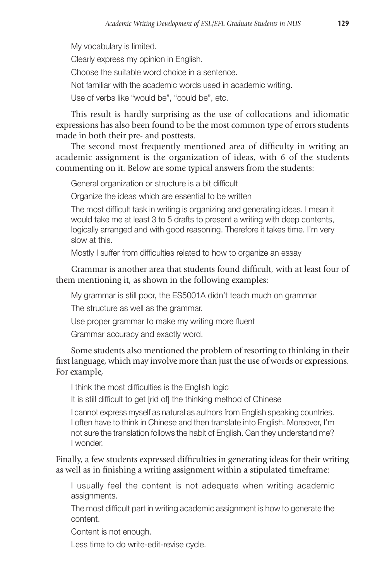My vocabulary is limited. Clearly express my opinion in English. Choose the suitable word choice in a sentence. Not familiar with the academic words used in academic writing. Use of verbs like "would be", "could be", etc.

 This result is hardly surprising as the use of collocations and idiomatic expressions has also been found to be the most common type of errors students made in both their pre- and posttests.

 The second most frequently mentioned area of difficulty in writing an academic assignment is the organization of ideas, with 6 of the students commenting on it. Below are some typical answers from the students:

General organization or structure is a bit difficult

Organize the ideas which are essential to be written

 The most difficult task in writing is organizing and generating ideas. I mean it would take me at least 3 to 5 drafts to present a writing with deep contents, logically arranged and with good reasoning. Therefore it takes time. I'm very slow at this.

Mostly I suffer from difficulties related to how to organize an essay

## Grammar is another area that students found difficult, with at least four of them mentioning it, as shown in the following examples:

My grammar is still poor, the ES5001A didn't teach much on grammar

The structure as well as the grammar.

Use proper grammar to make my writing more fluent

Grammar accuracy and exactly word.

Some students also mentioned the problem of resorting to thinking in their first language, which may involve more than just the use of words or expressions. For example,

I think the most difficulties is the English logic

It is still difficult to get [rid of] the thinking method of Chinese

 I cannot express myself as natural as authors from English speaking countries. I often have to think in Chinese and then translate into English. Moreover, I'm not sure the translation follows the habit of English. Can they understand me? I wonder.

Finally, a few students expressed difficulties in generating ideas for their writing as well as in finishing a writing assignment within a stipulated timeframe:

 I usually feel the content is not adequate when writing academic assignments.

 The most difficult part in writing academic assignment is how to generate the content.

Content is not enough.

Less time to do write-edit-revise cycle.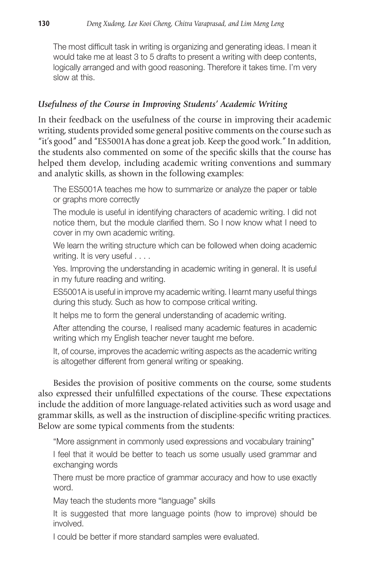The most difficult task in writing is organizing and generating ideas. I mean it would take me at least 3 to 5 drafts to present a writing with deep contents, logically arranged and with good reasoning. Therefore it takes time. I'm very slow at this.

# *Usefulness of the Course in Improving Students' Academic Writing*

In their feedback on the usefulness of the course in improving their academic writing, students provided some general positive comments on the course such as "it's good" and "ES5001A has done a great job. Keep the good work." In addition, the students also commented on some of the specific skills that the course has helped them develop, including academic writing conventions and summary and analytic skills, as shown in the following examples:

 The ES5001A teaches me how to summarize or analyze the paper or table or graphs more correctly

 The module is useful in identifying characters of academic writing. I did not notice them, but the module clarified them. So I now know what I need to cover in my own academic writing.

 We learn the writing structure which can be followed when doing academic writing. It is very useful . . . .

 Yes. Improving the understanding in academic writing in general. It is useful in my future reading and writing.

 ES5001A is useful in improve my academic writing. I learnt many useful things during this study. Such as how to compose critical writing.

It helps me to form the general understanding of academic writing.

 After attending the course, I realised many academic features in academic writing which my English teacher never taught me before.

 It, of course, improves the academic writing aspects as the academic writing is altogether different from general writing or speaking.

 Besides the provision of positive comments on the course, some students also expressed their unfulfilled expectations of the course. These expectations include the addition of more language-related activities such as word usage and grammar skills, as well as the instruction of discipline-specific writing practices. Below are some typical comments from the students:

"More assignment in commonly used expressions and vocabulary training"

I feel that it would be better to teach us some usually used grammar and exchanging words

There must be more practice of grammar accuracy and how to use exactly word.

May teach the students more "language" skills

It is suggested that more language points (how to improve) should be involved.

I could be better if more standard samples were evaluated.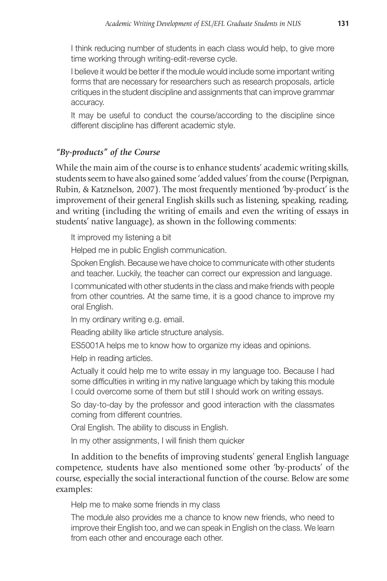I think reducing number of students in each class would help, to give more time working through writing-edit-reverse cycle.

I believe it would be better if the module would include some important writing forms that are necessary for researchers such as research proposals, article critiques in the student discipline and assignments that can improve grammar accuracy.

It may be useful to conduct the course/according to the discipline since different discipline has different academic style.

# *"By-products" of the Course*

While the main aim of the course is to enhance students' academic writing skills, students seem to have also gained some 'added values' from the course (Perpignan, Rubin, & Katznelson, 2007). The most frequently mentioned 'by-product' is the improvement of their general English skills such as listening, speaking, reading, and writing (including the writing of emails and even the writing of essays in students' native language), as shown in the following comments:

It improved my listening a bit

Helped me in public English communication.

 Spoken English. Because we have choice to communicate with other students and teacher. Luckily, the teacher can correct our expression and language.

 I communicated with other students in the class and make friends with people from other countries. At the same time, it is a good chance to improve my oral English.

In my ordinary writing e.g. email.

Reading ability like article structure analysis.

ES5001A helps me to know how to organize my ideas and opinions.

Help in reading articles.

 Actually it could help me to write essay in my language too. Because I had some difficulties in writing in my native language which by taking this module I could overcome some of them but still I should work on writing essays.

 So day-to-day by the professor and good interaction with the classmates coming from different countries.

Oral English. The ability to discuss in English.

In my other assignments, I will finish them quicker

 In addition to the benefits of improving students' general English language competence, students have also mentioned some other 'by-products' of the course, especially the social interactional function of the course. Below are some examples:

Help me to make some friends in my class

 The module also provides me a chance to know new friends, who need to improve their English too, and we can speak in English on the class. We learn from each other and encourage each other.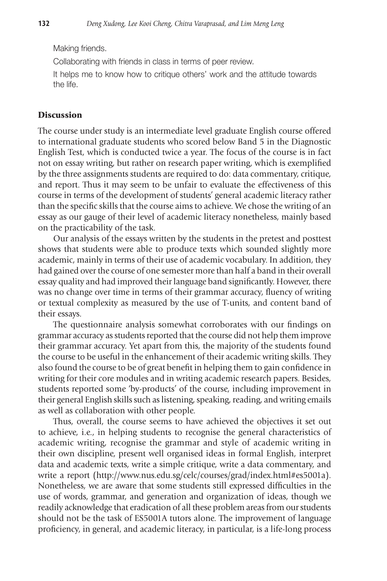Making friends.

Collaborating with friends in class in terms of peer review.

 It helps me to know how to critique others' work and the attitude towards the life.

## Discussion

The course under study is an intermediate level graduate English course offered to international graduate students who scored below Band 5 in the Diagnostic English Test, which is conducted twice a year. The focus of the course is in fact not on essay writing, but rather on research paper writing, which is exemplified by the three assignments students are required to do: data commentary, critique, and report. Thus it may seem to be unfair to evaluate the effectiveness of this course in terms of the development of students' general academic literacy rather than the specific skills that the course aims to achieve. We chose the writing of an essay as our gauge of their level of academic literacy nonetheless, mainly based on the practicability of the task.

 Our analysis of the essays written by the students in the pretest and posttest shows that students were able to produce texts which sounded slightly more academic, mainly in terms of their use of academic vocabulary. In addition, they had gained over the course of one semester more than half a band in their overall essay quality and had improved their language band significantly. However, there was no change over time in terms of their grammar accuracy, fluency of writing or textual complexity as measured by the use of T-units, and content band of their essays.

 The questionnaire analysis somewhat corroborates with our findings on grammar accuracy as students reported that the course did not help them improve their grammar accuracy. Yet apart from this, the majority of the students found the course to be useful in the enhancement of their academic writing skills. They also found the course to be of great benefit in helping them to gain confidence in writing for their core modules and in writing academic research papers. Besides, students reported some 'by-products' of the course, including improvement in their general English skills such as listening, speaking, reading, and writing emails as well as collaboration with other people.

 Thus, overall, the course seems to have achieved the objectives it set out to achieve, i.e., in helping students to recognise the general characteristics of academic writing, recognise the grammar and style of academic writing in their own discipline, present well organised ideas in formal English, interpret data and academic texts, write a simple critique, write a data commentary, and write a report (http://www.nus.edu.sg/celc/courses/grad/index.html#es5001a). Nonetheless, we are aware that some students still expressed difficulties in the use of words, grammar, and generation and organization of ideas, though we readily acknowledge that eradication of all these problem areas from our students should not be the task of ES5001A tutors alone. The improvement of language proficiency, in general, and academic literacy, in particular, is a life-long process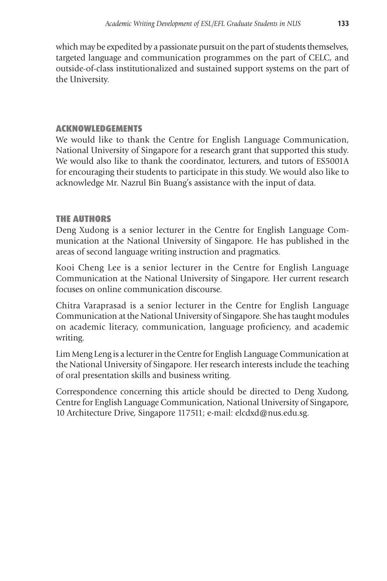which may be expedited by a passionate pursuit on the part of students themselves, targeted language and communication programmes on the part of CELC, and outside-of-class institutionalized and sustained support systems on the part of the University.

# ACKNOWLEDGEMENTS

We would like to thank the Centre for English Language Communication, National University of Singapore for a research grant that supported this study. We would also like to thank the coordinator, lecturers, and tutors of ES5001A for encouraging their students to participate in this study. We would also like to acknowledge Mr. Nazrul Bin Buang's assistance with the input of data.

# THE AUTHORS

Deng Xudong is a senior lecturer in the Centre for English Language Communication at the National University of Singapore. He has published in the areas of second language writing instruction and pragmatics.

Kooi Cheng Lee is a senior lecturer in the Centre for English Language Communication at the National University of Singapore. Her current research focuses on online communication discourse.

Chitra Varaprasad is a senior lecturer in the Centre for English Language Communication at the National University of Singapore. She has taught modules on academic literacy, communication, language proficiency, and academic writing.

Lim Meng Leng is a lecturer in the Centre for English Language Communication at the National University of Singapore. Her research interests include the teaching of oral presentation skills and business writing.

Correspondence concerning this article should be directed to Deng Xudong, Centre for English Language Communication, National University of Singapore, 10 Architecture Drive, Singapore 117511; e-mail: elcdxd@nus.edu.sg.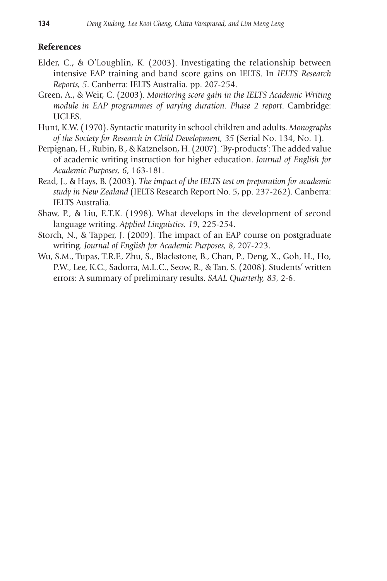## **References**

- Elder, C., & O'Loughlin, K. (2003). Investigating the relationship between intensive EAP training and band score gains on IELTS. In *IELTS Research Reports, 5*. Canberra: IELTS Australia. pp. 207-254.
- Green, A., & Weir, C. (2003). *Monitoring score gain in the IELTS Academic Writing module in EAP programmes of varying duration. Phase 2 report*. Cambridge: UCLES.
- Hunt, K.W. (1970). Syntactic maturity in school children and adults. *Monographs of the Society for Research in Child Development, 35* (Serial No. 134, No. 1).
- Perpignan, H., Rubin, B., & Katznelson, H. (2007). 'By-products': The added value of academic writing instruction for higher education. *Journal of English for Academic Purposes, 6*, 163-181.
- Read, J., & Hays, B. (2003). *The impact of the IELTS test on preparation for academic study in New Zealand* (IELTS Research Report No. 5, pp. 237-262). Canberra: IELTS Australia.
- Shaw, P., & Liu, E.T.K. (1998). What develops in the development of second language writing. *Applied Linguistics, 19*, 225-254.
- Storch, N., & Tapper, J. (2009). The impact of an EAP course on postgraduate writing. *Journal of English for Academic Purposes, 8*, 207-223.
- Wu, S.M., Tupas, T.R.F., Zhu, S., Blackstone, B., Chan, P., Deng, X., Goh, H., Ho, P.W., Lee, K.C., Sadorra, M.L.C., Seow, R., & Tan, S. (2008). Students' written errors: A summary of preliminary results. *SAAL Quarterly, 83*, 2-6.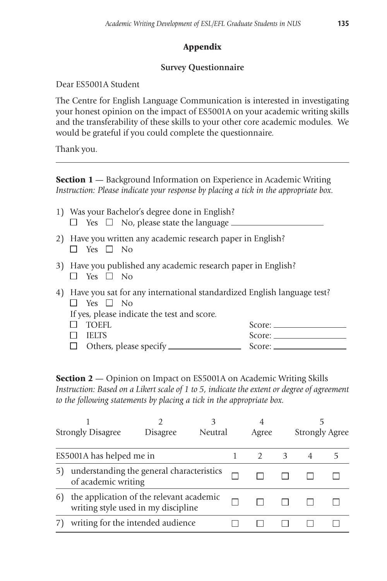# Appendix

## **Survey Questionnaire**

Dear ES5001A Student

The Centre for English Language Communication is interested in investigating your honest opinion on the impact of ES5001A on your academic writing skills and the transferability of these skills to your other core academic modules. We would be grateful if you could complete the questionnaire.

Thank you.

**Section 1** — Background Information on Experience in Academic Writing *Instruction: Please indicate your response by placing a tick in the appropriate box.*

- 1) Was your Bachelor's degree done in English?  $\Box$  Yes  $\Box$  No, please state the language  $\Box$
- 2) Have you written any academic research paper in English?  $\Box$  Yes  $\Box$  No
- 3) Have you published any academic research paper in English?  $\Box$  Yes  $\Box$  No
- 4) Have you sat for any international standardized English language test?  $\Box$  Yes  $\Box$  No If yes, please indicate the test and score. TOEFL Score:
	- IELTS Score: Others, please specify Score:

**Section 2** — Opinion on Impact on ES5001A on Academic Writing Skills *Instruction: Based on a Likert scale of 1 to 5, indicate the extent or degree of agreement to the following statements by placing a tick in the appropriate box.*

|                                                                                       | <b>Strongly Disagree</b>          | <b>Disagree</b> | Neutral | 4<br>Agree |   | Strongly Agree |  |
|---------------------------------------------------------------------------------------|-----------------------------------|-----------------|---------|------------|---|----------------|--|
|                                                                                       | ES5001A has helped me in          |                 |         |            | 3 |                |  |
| understanding the general characteristics<br>of academic writing                      |                                   |                 |         |            |   |                |  |
| the application of the relevant academic<br>6)<br>writing style used in my discipline |                                   |                 |         |            |   |                |  |
|                                                                                       | writing for the intended audience |                 |         |            |   |                |  |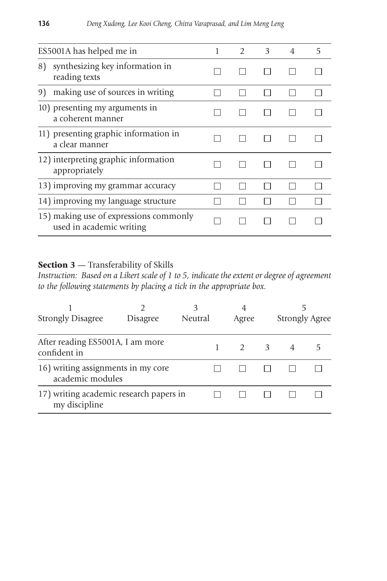|    | ES5001A has helped me in                                           | 1 | $\mathcal{D}$ | $\mathbf{3}$ | 4 | 5 |
|----|--------------------------------------------------------------------|---|---------------|--------------|---|---|
| 8) | synthesizing key information in<br>reading texts                   |   |               |              |   |   |
| 9) | making use of sources in writing                                   |   |               |              |   |   |
|    | 10) presenting my arguments in<br>a coherent manner                |   |               |              |   |   |
|    | 11) presenting graphic information in<br>a clear manner            |   |               |              |   |   |
|    | 12) interpreting graphic information<br>appropriately              |   |               |              |   |   |
|    | 13) improving my grammar accuracy                                  |   |               |              |   |   |
|    | 14) improving my language structure                                |   |               |              |   |   |
|    | 15) making use of expressions commonly<br>used in academic writing |   |               |              |   |   |

# Section 3 - Transferability of Skills

*Instruction: Based on a Likert scale of 1 to 5, indicate the extent or degree of agreement to the following statements by placing a tick in the appropriate box.*

| <b>Strongly Disagree</b>                                 | <b>Disagree</b> | Neutral | 4<br>Agree |   | 5<br>Strongly Agree |  |
|----------------------------------------------------------|-----------------|---------|------------|---|---------------------|--|
| After reading ES5001A, I am more<br>confident in         |                 |         |            | 3 | 4                   |  |
| 16) writing assignments in my core<br>academic modules   |                 |         |            |   |                     |  |
| 17) writing academic research papers in<br>my discipline |                 |         |            |   |                     |  |